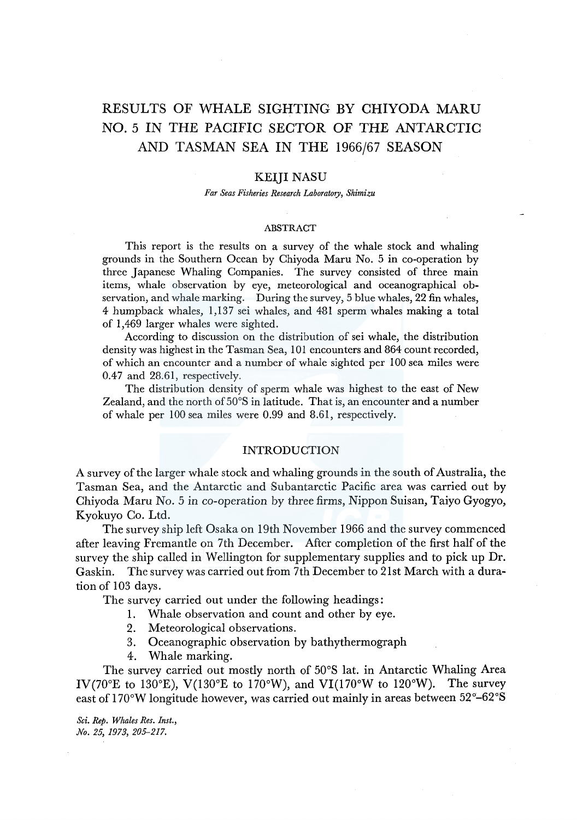# RESULTS OF WHALE SIGHTING BY CHIYODA MARU NO. 5 IN THE PACIFIC SECTOR OF THE ANTARCTIC AND TASMAN SEA IN THE 1966/67 SEASON

## KEIJI NASU

*Far Seas Fisheries Research Laboratory, Shimizu* 

#### ABSTRACT

This report is the results on a survey of the whale stock and whaling grounds in the Southern Ocean by Chiyoda Maru No. 5 in co-operation by three Japanese Whaling Companies. The survey consisted of three main items, whale observation by eye, meteorological and oceanographical observation, and whale marking. During the survey, 5 blue whales, 22 fin whales, 4 humpback whales, 1,137 sei whales, and 481 sperm whales making a total of 1,469 larger whales were sighted.

According to discussion on the distribution of sei whale, the distribution density was highest in the Tasman Sea, 101 encounters and 864 count recorded, of which an encounter and a number of whale sighted per 100 sea miles were 0.47 and 28.61, respectively.

The distribution density of sperm whale was highest to the east of New Zealand, and the north of 50°S in latitude. That is, an encounter and a number of whale per 100 sea miles were 0.99 and 8.61, respectively.

## INTRODUCTION

A survey of the larger whale stock and whaling grounds in the south of Australia, the Tasman Sea, and the Antarctic and Subantarctic Pacific area was carried out by Chiyoda Maru No. 5 in co-operation by three firms, Nippon Suisan, Taiyo Gyogyo, Kyokuyo Co. Ltd.

The survey ship left Osaka on 19th November 1966 and the survey commenced after leaving Fremantle on 7th December. After completion of the first half of the survey the ship called in Wellington for supplementary supplies and to pick up Dr. Gaskin. The survey was carried out from 7th December to 2lst March with a duration of 103 days.

The survey carried out under the following headings:

- 1. Whale observation and count and other by eye.
- 2. Meteorological observations.
- 3. Oceanographic observation by bathythermograph
- 4. Whale marking.

The survey carried out mostly north of 50°S lat. in Antarctic Whaling Area IV(70°E to 130°E), V(130°E to 170°W), and VI(170°W to 120°W). The survey east of  $170^{\circ}$ W longitude however, was carried out mainly in areas between  $52^{\circ}$ – $62^{\circ}$ S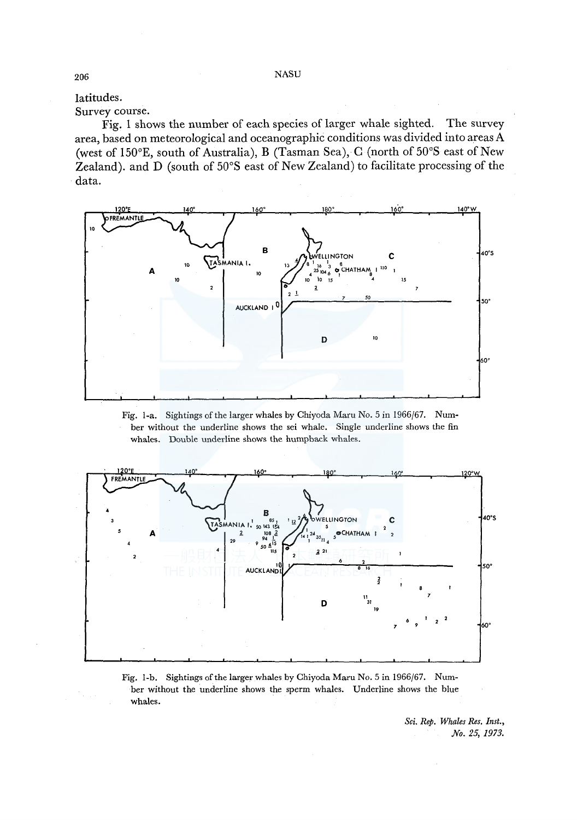latitudes. Survey course.

Fig. 1 shows the number of each species of larger whale sighted. The survey area, based on meteorological and oceanographic conditions was divided into areas A (west of 150°E, south of Australia), B (Tasman Sea), C (north of 50°S east of New Zealand). and D (south of 50°S east of New Zealand) to facilitate processing of the data.



Fig. 1-a. Sightings of the larger whales by Chiyoda Maru No. 5 in 1966/67. Number without the underline shows the sei whale. Single underline shows the fin whales. Double underline shows the humpback whales.



Fig. 1-b. Sightings of the larger whales by Chiyoda Maru No. 5 in 1966/67. Number without the underline shows the sperm whales. Underline shows the blue whales.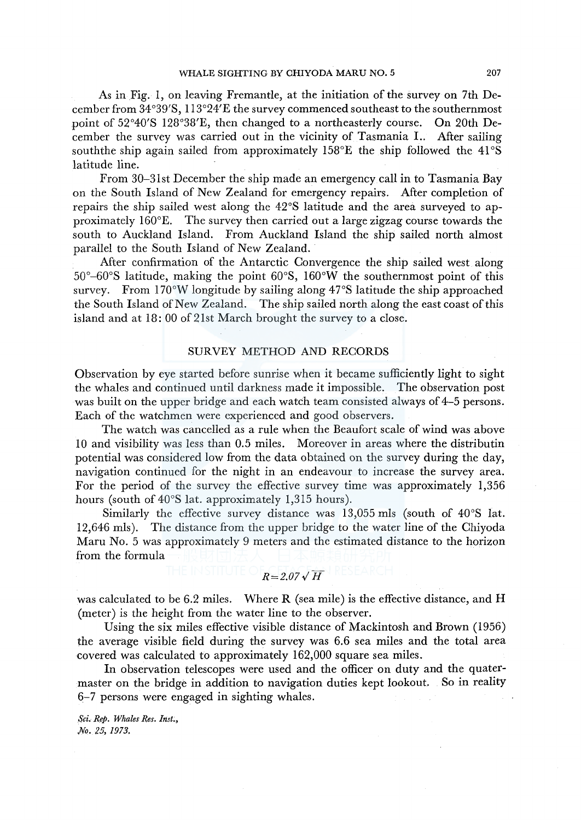As in Fig. 1, on leaving Fremantle, at the initiation of the survey on 7th December from 34°39'S, l l 3°24'E the survey commenced southeast to the southernmost point of 52°40'S 128°38'E, then changed to a northeasterly course. On 20th December the survey was carried out in the vicinity of Tasmania I.. After sailing souththe ship again sailed from approximately 158°E the ship followed the 41°S latitude line.

From 30-3lst December the ship made an emergency call in to Tasmania Bay on the South Island of New Zealand for emergency repairs. After completion of repairs the ship sailed west along the 42°S latitude and the area surveyed to approximately 160°E. The survey then carried out a large zigzag course towards the south to Auckland Island. From Auckland Island the ship sailed north almost parallel to the South Island of New Zealand.

After confirmation of the Antarctic Convergence the ship sailed west along 50°-60°S latitude, making the point 60°S, 160°W the southernmost point of this survey. From  $170^{\circ}$ W longitude by sailing along  $47^{\circ}$ S latitude the ship approached the South Island of New Zealand. The ship sailed north along the east coast of this island and at 18: 00 of 2lst March brought the survey to a close.

## SURVEY METHOD AND RECORDS

Observation by eye started before sunrise when it became sufficiently light to sight the whales and continued until darkness made it impossible. The observation post was built on the upper bridge and each watch team consisted always of 4-5 persons. Each of the watchmen were experienced and good observers.

The watch was cancelled as a rule when the Beaufort scale of wind was above 10 and visibility was less than 0.5 miles. Moreover in areas where the distributin potential was considered low from the data obtained on the survey during the day, navigation continued for the night in an endeavour to increase the survey area. For the period of the survey the effective survey time was approximately 1,356 hours (south of 40°S lat. approximately 1,315 hours).

Similarly the effective survey distance was 13,055 mls (south of 40°S lat. 12,646 mls). The distance from the upper bridge to the water line of the Chiyoda Maru No. 5 was approximately 9 meters and the estimated distance to the horizon from the formula

$$
R = 2.07\sqrt{H}
$$

was calculated to be 6.2 miles. Where R (sea mile) is the effective distance, and H (meter) is the height from the water line to the observer.

Using the six miles effective visible distance of Mackintosh and Brown (1956) the average visible field during the survey was 6.6 sea miles and the total area covered was calculated to approximately 162,000 square sea miles.

In observation telescopes were used and the officer on duty and the quatermaster on the bridge in addition to navigation duties kept lookout. So in reality 6-7 persons were engaged in sighting whales.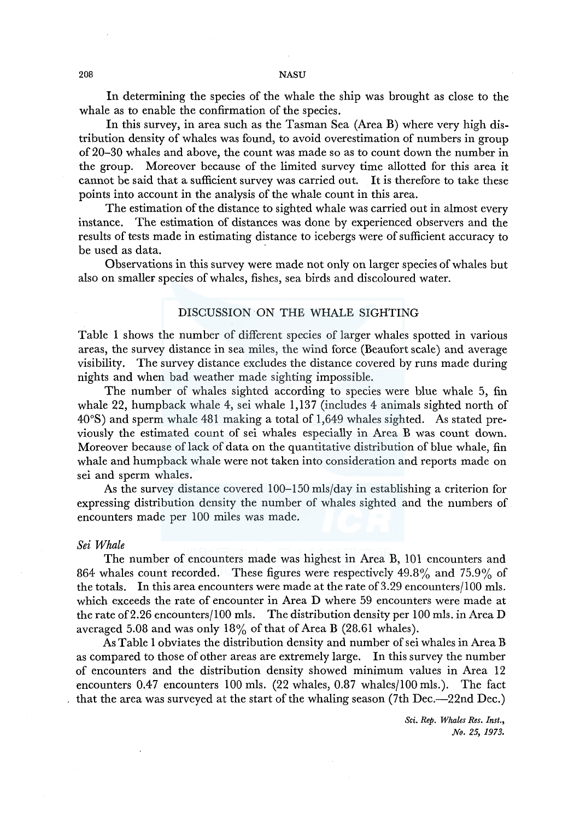In determining the species of the whale the ship was brought as close to the whale as to enable the confirmation of the species.

In this survey, in area such as the Tasman Sea (Area B) where very high distribution density of whales was found, to avoid overestimation of numbers in group of 20-30 whales and above, the count was made so as to count down the number in the group. Moreover because of the limited survey time allotted for this area it cannot be said that a sufficient survey was carried out. It is therefore to take these points into account in the analysis of the whale count in this area.

The estimation of the distance to sighted whale was carried out in almost every instance. The estimation of distances was done by experienced observers and the results of tests made in estimating distance to icebergs were of sufficient accuracy to be used as data.

Observations in this survey were made not only on larger species of whales but also on smaller species of whales, fishes, sea birds and discoloured water.

## DISCUSSION ON THE WHALE SIGHTING

Table 1 shows the number of different species of larger whales spotted in various areas, the survey distance in sea miles, the wind force (Beaufort scale) and average visibility. The survey distance excludes the distance covered by runs made during nights and when bad weather made sighting impossible.

The number of whales sighted according to species were blue whale 5, fin whale 22, humpback whale 4, sei whale 1,137 (includes 4 animals sighted north of 40°S) and sperm whale 481 making a total of 1,649 whales sighted. As stated previously the estimated count of sei whales especially in Area B was count down. Moreover because of lack of data on the quantitative distribution of blue whale, fin whale and humpback whale were not taken into consideration and reports made on sei and sperm whales.

As the survey distance covered 100-150 mls/day in establishing a criterion for expressing distribution density the number of whales sighted and the numbers of encounters made per 100 miles was made.

#### *Sei Whale*

The number of encounters made was highest in Area B, 101 encounters and 864 whales count recorded. These figures were respectively 49.8% and 75.9% of the totals. In this area encounters were made at the rate of 3.29 encounters/100 mls. which exceeds the rate of encounter in Area D where 59 encounters were made at the rate of2.26 encounters/100 mls. The distribution density per 100 mls. in Area D averaged 5.08 and was only  $18\%$  of that of Area B (28.61 whales).

As Table 1 obviates the distribution density and number of sei whales in Area B as compared to those of other areas are extremely large. In this survey the number of encounters and the distribution density showed minimum values in Area 12 encounters 0.47 encounters 100 mls. (22 whales, 0.87 whales/100 mls.). The fact that the area was surveyed at the start of the whaling season (7th Dec.--22nd Dec.)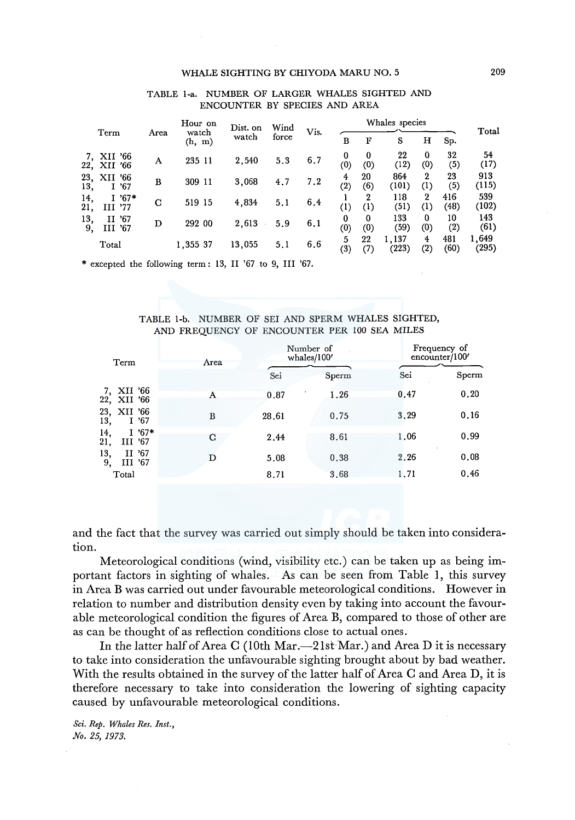## WHALE SIGHTING BY CHIYODA MARU NO. 5 209

| Term                             |      | Hour on         | Dist. on | Wind  | Vis. |                  |           | Whales species |                                  |                        | Total          |
|----------------------------------|------|-----------------|----------|-------|------|------------------|-----------|----------------|----------------------------------|------------------------|----------------|
|                                  | Area | watch<br>(h, m) | watch    | force |      | в                | F         | S              | н                                | Sp.                    |                |
| XII '66<br>XII '66<br>22,        | A    | 235 11          | 2,540    | 5.3   | 6.7  | 0<br>$^{(0)}$    | 0<br>(0)  | 22<br>(12)     | 0<br>(0)                         | 32<br>$\left(5\right)$ | 54<br>(17)     |
| 23,<br>XII '66<br>I '67<br>13,   | в    | 309 11          | 3,068    | 4.7   | 7.2  | 4<br>(2)         | 20<br>(6) | 864<br>(101)   | $\mathbf{2}$<br>(1)              | 23<br>(5)              | 913<br>(115)   |
| $1'67*$<br>14,<br>III '77<br>21, | C    | 519 15          | 4,834    | 5.1   | 6.4  | $\left(1\right)$ | 2<br>(1)  | 118<br>(51)    | $\mathbf{2}$<br>$\left(1\right)$ | 416<br>(48)            | 539<br>(102)   |
| 13,<br>II '67<br>9,<br>III '67   | D    | 292 00          | 2,613    | 5.9   | 6.1  | 0<br>(0)         | 0<br>(0)  | 133<br>(59)    | 0<br>(0)                         | 10<br>(2)              | 143<br>(61)    |
| Total                            |      | 1,355 37        | 13,055   | 5.1   | 6.6  | 5<br>(3)         | 22<br>(7) | 1.137<br>(223) | 4<br>$\left( 2\right)$           | 481<br>(60)            | 1,649<br>(295) |

## TABLE 1-a. NUMBER OF LARGER WHALES SIGHTED AND ENCOUNTER BY SPECIES AND AREA

\* excepted the following term: 13, II '67 to 9, III '67.

## TABLE 1-b. NUMBER OF SEI AND SPERM WHALES SIGHTED, AND FREQUENCY OF ENCOUNTER PER 100 SEA MILES

| Term                             | Area |       | Number of<br>whales/100' |      | Frequency of<br>encounter/100 |
|----------------------------------|------|-------|--------------------------|------|-------------------------------|
|                                  |      | Sei   | Sperm                    | Sei  | Sperm                         |
| 7, XII '66<br>22, XII '66        | А    | 0.87  | 1.26                     | 0.47 | 0.20                          |
| 23, XII '66<br>I'67<br>13.       | B    | 28,61 | 0.75                     | 3.29 | 0.16                          |
| $1'67*$<br>14,<br>21,<br>III '67 | С    | 2.44  | 8.61                     | 1,06 | 0.99                          |
| 13,<br>II '67<br>9.<br>III '67   | D    | 5.08  | 0.38                     | 2.26 | 0.08                          |
| Total                            |      | 8.71  | 3.68                     | 1.71 | 0.46                          |

and the fact that the survey was carried out simply should be taken into consideration.

Meteorological conditions (wind, visibility etc.) can be taken up as being important factors in sighting of whales. As can be seen from Table **1,** this survey in Area **B** was carried out under favourable meteorological conditions. However in relation to number and distribution density even by taking into account the favourable meteorological condition the figures of Area B, compared to those of other are as can be thought of as reflection conditions close to actual ones.

In the latter half of Area C (10th Mar.—21st Mar.) and Area D it is necessary to take into consideration the unfavourable sighting brought about by bad weather. With the results obtained in the survey of the latter half of Area C and Area **D,** it is therefore necessary to take into consideration the lowering of sighting capacity caused by unfavourable meteorological conditions.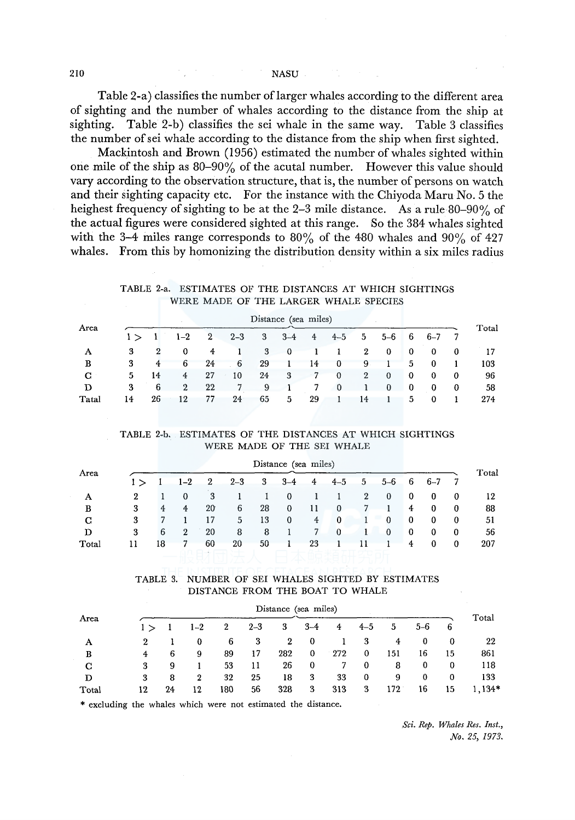#### 210 NASU

Table 2-a) classifies the number oflarger whales according to the different area of sighting and the number of whales according to the distance from the ship at sighting. Table 2-b) classifies the sei whale in the same way. Table 3 classifies the number of sei whale according to the distance from the ship when first sighted.

Mackintosh and Brown (1956) estimated the number of whales sighted within one mile of the ship as 80-90% of the acutal number. However this value should vary according to the observation structure, that is, the number of persons on watch and their sighting capacity etc. For the instance with the Chiyoda Maru No. 5 the heighest frequency of sighting to be at the 2–3 mile distance. As a rule 80–90% of the actual figures were considered sighted at this range. So the 384 whales sighted with the 3-4 miles range corresponds to 80% of the 480 whales and 90% of 427 whales. From this by homonizing the distribution density within a six miles radius

## TABLE 2-a. ESTIMATES OF THE DISTANCES AT WHICH SIGHTINGS WERE MADE OF THE LARGER WHALE SPECIES

| Area  |     |    |              |    |         |    | Distance (sea miles) |    |             |              |          |    |         |    | Total |
|-------|-----|----|--------------|----|---------|----|----------------------|----|-------------|--------------|----------|----|---------|----|-------|
|       | 1 > |    | $1 - 2$      | 2  | $2 - 3$ | 3  | $3 - 4$              | 4  | $4 - 5$     | 5            | $5 - 6$  | 6  | $6 - 7$ |    |       |
| А     | 3   | 2  | $\mathbf 0$  | 4  |         | 3  | 0                    |    | 1           | $\mathbf{2}$ | 0        | 0  | 0       | -0 |       |
| в     | 3   | 4  | 6            | 24 | 6       | 29 |                      | 14 | 0           | 9            |          | 5. | 0       |    | 103   |
| C.    | 5   | 14 | 4            | 27 | 10      | 24 | 3                    |    | $\theta$    | $\mathbf{2}$ | $\bf{0}$ | 0  | 0       | 0  | 96    |
| D     | 3   | 6  | $\mathbf{2}$ | 22 |         | 9  | 1                    |    | $\mathbf 0$ |              | $\bf{0}$ | 0  | 0       | 0  | 58    |
| Tatal | 14  | 26 | 12           | 77 | 24      | 65 | 5                    | 29 |             | 14           |          | 5  | 0       |    | 274   |

#### TABLE 2-b. ESTIMATES OF THE DISTANCES AT WHICH SIGHTINGS WERE MADE OF THE SEI WHALE

|       |     |    |              |    |         |    | Distance (sea miles) |    |          |                |          |    |         |          |       |
|-------|-----|----|--------------|----|---------|----|----------------------|----|----------|----------------|----------|----|---------|----------|-------|
| Area  | 1 > |    | $1 - 2$      | 2  | $2 - 3$ | 3  | $3 - 4$              | 4  | $4 - 5$  | 5 <sub>5</sub> | $5 - 6$  | -6 | $6 - 7$ | -7       | Total |
| А     | 2   |    | $\Omega$     | 3  |         |    | 0                    |    |          | $\mathbf{2}$   | $\bf{0}$ | 0  | 0       | $\bf{0}$ | 12    |
| в     | 3   | 4  | 4            | 20 | 6       | 28 | $\bf{0}$             | 11 | $\bf{0}$ |                | 1        | 4  | 0       | $\bf{0}$ | 88    |
| C     | 3   |    |              | 17 | 5       | 13 | $\bf{0}$             | 4  | $\bf{0}$ |                | $\bf{0}$ | 0  | 0       | 0        | 51    |
| D     | 3   | 6  | $\mathbf{2}$ | 20 | 8       | 8  |                      | 7  | $\bf{0}$ | L              | 0        | 0  | 0       | 0        | 56    |
| Total |     | 18 |              | 60 | 20      | 50 |                      | 23 |          |                |          | 4  | 0       | 0        | 207   |

## TABLE 3. NUMBER OF SEI WHALES SIGHTED BY ESTIMATES DISTANCE FROM THE BOAT TO WHALE

|       |     |    |                  |     |         | Distance (sea miles) |          |     |          |     |         |          | Total  |
|-------|-----|----|------------------|-----|---------|----------------------|----------|-----|----------|-----|---------|----------|--------|
| Area  | 1 > |    | $1 - 2$          | 2   | $2 - 3$ | 3                    | $3 - 4$  | 4   | $4 - 5$  | 5   | $5 - 6$ | 6        |        |
| А     | 2   |    | 0                | 6   | 3       | $\mathbf 2$          | -0       |     | 3        | 4   | 0       | 0        | 22     |
| в     | 4   | 6  | 9                | 89  | 17      | 282                  | $\bf{0}$ | 272 | $\bf{0}$ | 151 | 16      | 15       | 861    |
| C     | 3   | 9  |                  | 53  | 11      | 26                   | -0       |     | 0        | 8   | 0       | 0        | 118    |
| D     | 3   | 8  | $\boldsymbol{2}$ | 32  | 25      | 18                   | 3        | 33  | 0        | 9   | 0       | $\bf{0}$ | 133    |
| Total | 12  | 24 | 12               | 180 | 56      | 328                  | 3        | 313 | 3        | 172 | 16      | 15       | 1,134* |

\* excluding the whales which were not estimated the distance.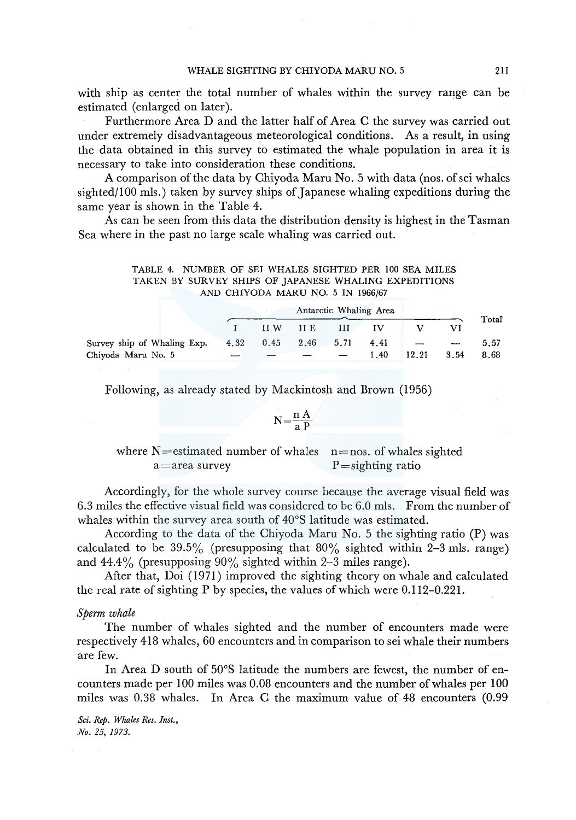with ship as center the total number of whales within the survey range can be estimated (enlarged on later).

Furthermore Area D and the latter half of Area C the survey was carried out under extremely disadvantageous meteorological conditions. As a result, in using the data obtained in this survey to estimated the whale population in area it is necessary to take into consideration these conditions.

A comparison of the data by Chiyoda Maru No. 5 with data (nos. of sei whales sighted/100 mls.) taken by survey ships of Japanese whaling expeditions during the same year is shown in the Table 4.

As can be seen from this data the distribution density is highest in the Tasman Sea where in the past no large scale whaling was carried out.

| TABLE 4. NUMBER OF SEI WHALES SIGHTED PER 100 SEA MILES |  |                                   |  |  |
|---------------------------------------------------------|--|-----------------------------------|--|--|
| TAKEN BY SURVEY SHIPS OF JAPANESE WHALING EXPEDITIONS   |  |                                   |  |  |
|                                                         |  | AND CHIYODA MARU NO. 5 IN 1966/67 |  |  |

|                             |                     |           |   | Antarctic Whaling Area |       |                                           |       |
|-----------------------------|---------------------|-----------|---|------------------------|-------|-------------------------------------------|-------|
|                             |                     | II W II E | Ш | ΙV                     |       |                                           | Total |
| Survey ship of Whaling Exp. | 4.32 0.45 2.46 5.71 |           |   | 4.41                   |       | the company of the company of the company | 5.57  |
| Chiyoda Maru No. 5          |                     |           |   | 1.40                   | 12.21 | 3.54                                      | 8.68  |

Following, as already stated by Mackintosh and Brown (1956)

$$
N = \frac{n A}{a P}
$$

where  $N=$  estimated number of whales n=nos. of whales sighted  $a = \text{area survey}$  P=sighting ratio

Accordingly, for the whole survey course because the average visual field was 6.3 miles the effective visual field was considered to be 6.0 mls. From the number of whales within the survey area south of 40°S latitude was estimated.

According to the data of the Chiyoda Maru No. 5 the sighting ratio (P) was calculated to be  $39.5\%$  (presupposing that  $80\%$  sighted within 2-3 mls. range) and  $44.4\%$  (presupposing  $90\%$  sighted within 2-3 miles range).

After that, Doi (1971) improved the sighting theory on whale and calculated the real rate of sighting P by species, the values of which were 0.112-0.221.

*Sperm whale* 

The number of whales sighted and the number of encounters made were respectively 418 whales, 60 encounters and in comparison to sei whale their numbers are few.

In Area D south of 50°S latitude the numbers are fewest, the number of encounters made per 100 miles was 0.08 encounters and the number of whales per 100 miles was 0.38 whales. In Area C the maximum value of 48 encounters (0.99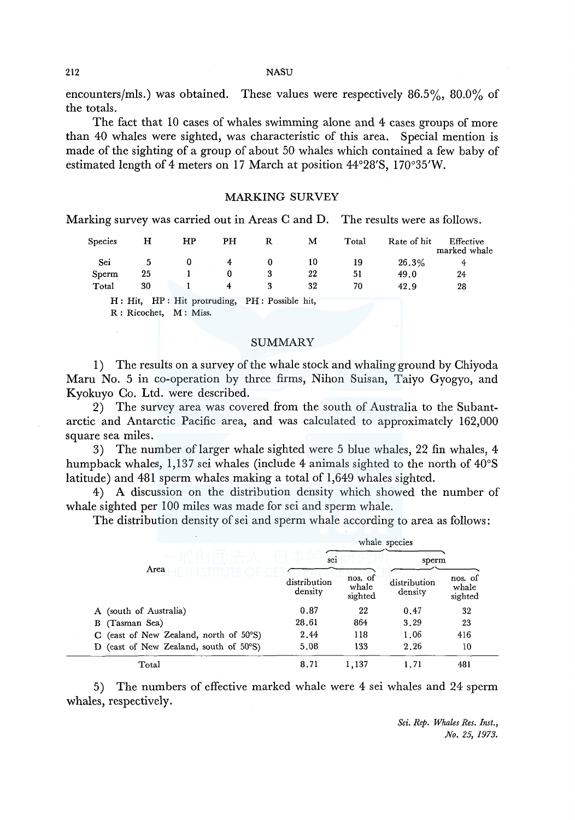#### 212 NASU

encounters/mls.) was obtained. These values were respectively 86.5%, 80.0% of the totals.

The fact that 10 cases of whales swimming alone and 4 cases groups of more than 40 whales were sighted, was characteristic of this area. Special mention is made of the sighting of a group of about 50 whales which contained a few baby of estimated length of 4 meters on 17 March at position 44°28'S, 170°35'W.

## MARKING SURVEY

Marking survey was carried out in Areas C and D. The results were as follows.

| Species | н                                             | HP | PH | R | м  | Total | Rate of hit | Effective<br>marked whale |
|---------|-----------------------------------------------|----|----|---|----|-------|-------------|---------------------------|
| Sei     |                                               |    | 4  |   | 10 | 19    | 26.3%       | 4                         |
| Sperm   | 25                                            |    |    |   | 22 | 51    | 49.0        | 24                        |
| Total   | 30                                            |    | 4  |   | 32 | 70    | 42.9        | 28                        |
|         | H: Hit, HP: Hit protruding, PH: Possible hit, |    |    |   |    |       |             |                           |

R : Ricochet, M: Miss.

#### SUMMARY

1) The results on a survey of the whale stock and whaling ground by Chiyoda Maru No. 5 in co-operation by three firms, Nihon Suisan, Taiyo Gyogyo, and Kyokuyo Co. Ltd. were described.

2) The survey area was covered from the south of Australia to the Subantarctic and Antarctic Pacific area, and was calculated to approximately 162,000 square sea miles.

3) The number of larger whale sighted were 5 blue whales, 22 fin whales, 4 humpback whales, 1,137 sei whales (include 4 animals sighted to the north of 40°S latitude) and 481 sperm whales making a total of 1,649 whales sighted.

4) A discussion on the distribution density which showed the number of whale sighted per 100 miles was made for sei and sperm whale.

The distribution density of sei and sperm whale according to area as follows:

|                                           |                         |                             | whale species           |                             |
|-------------------------------------------|-------------------------|-----------------------------|-------------------------|-----------------------------|
| Area                                      | sei                     |                             | sperm                   |                             |
|                                           | distribution<br>density | nos. of<br>whale<br>sighted | distribution<br>density | nos. of<br>whale<br>sighted |
| (south of Australia)<br>A                 | 0.87                    | 22                          | 0.47                    | 32                          |
| (Tasman Sea)<br>В                         | 28.61                   | 864                         | 3.29                    | 23                          |
| (east of New Zealand, north of 50°S)      | 2.44                    | 118                         | 1.06                    | 416                         |
| (east of New Zealand, south of 50°S)<br>D | 5.08                    | 133                         | 2.26                    | 10                          |
| Total                                     | 8.71                    | 1,137                       | 1.71                    | 481                         |

5) The numbers of effective marked whale were 4 sei whales and 24 sperm whales, respectively.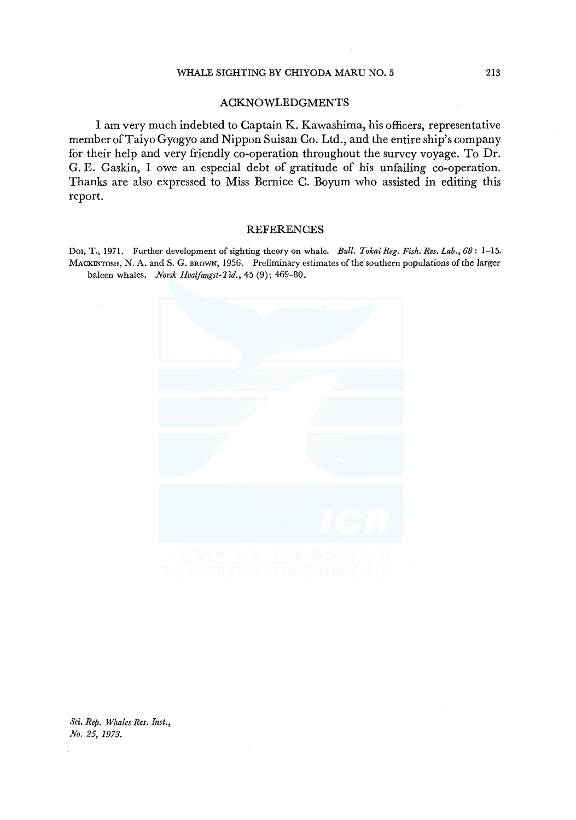## WHALE SIGHTING BY CHIYODA MARU NO. 5 213

## ACKNOWLEDGMENTS

I am very much indebted to Captain K. Kawashima, his officers, representative member of Taiyo Gyogyo and Nippon Suisan Co. Ltd., and the entire ship's company for their help and very friendly co-operation throughout the survey voyage. To Dr. G. E. Gaskin, I owe an especial debt of gratitude of his unfailing co-operation. Thanks are also expressed to Miss Bernice C. Boyum who assisted in editing this report.

# REFERENCES Dor, T., 1971. Further development of sighting theory on whale. *Bull. Tokai Reg. Fish. Res. Lab., 68:* 1-15.

MACKINTOSH, N. A. and S. G. BROWN, 1956. Preliminary estimates of the southern populations of the larger baleen whales. *Norsk Hvaifangst-Tia.,* 45 (9): 469-80.

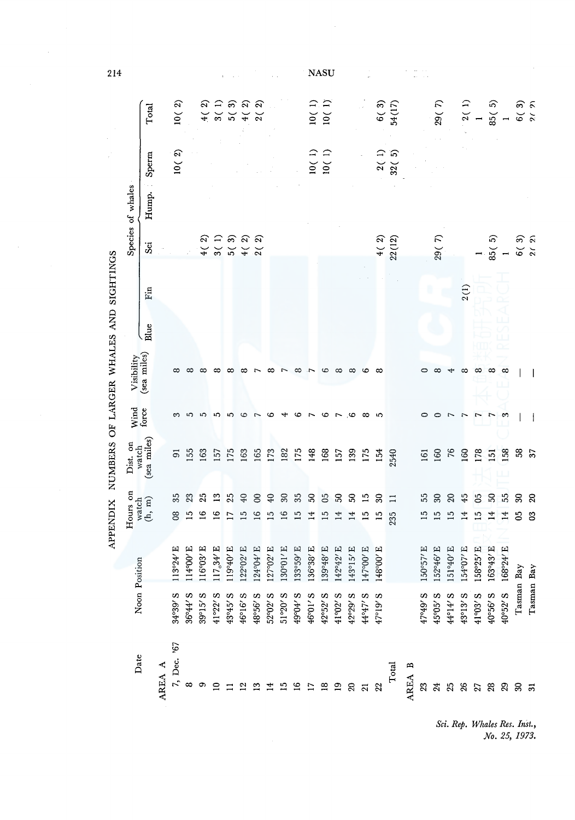| 214                                             |                                                                               |                    |        |                                |                            |                   |                        |          |                                                                                                                                                                                                                                                                      |               |                           |                        |                 |            | NASU                                          |                |           |                                        |                  |                   |        |           |           |                       |                                                                                                                                                    |               |                                                 |                                                     |                     |                          |
|-------------------------------------------------|-------------------------------------------------------------------------------|--------------------|--------|--------------------------------|----------------------------|-------------------|------------------------|----------|----------------------------------------------------------------------------------------------------------------------------------------------------------------------------------------------------------------------------------------------------------------------|---------------|---------------------------|------------------------|-----------------|------------|-----------------------------------------------|----------------|-----------|----------------------------------------|------------------|-------------------|--------|-----------|-----------|-----------------------|----------------------------------------------------------------------------------------------------------------------------------------------------|---------------|-------------------------------------------------|-----------------------------------------------------|---------------------|--------------------------|
|                                                 |                                                                               | Total              |        | $\widehat{\mathcal{C}}$<br>10( |                            | 2<br>$\breve{+}$  |                        |          | 1 3 5 9 9<br>2 7 9 9 9<br>2 9 9 9                                                                                                                                                                                                                                    |               |                           |                        |                 |            | $\frac{10(1)}{10(1)}$                         |                |           |                                        |                  | $6(3)$<br>54(17)  |        |           | 29(7)     |                       |                                                                                                                                                    | $2(1)$<br>$1$ | $85(5)$<br>1                                    |                                                     | $6(3)$ 9.7 $\alpha$ |                          |
|                                                 |                                                                               | Sperm              |        | $10($ 2) $\,$                  |                            |                   |                        |          |                                                                                                                                                                                                                                                                      |               |                           |                        |                 |            | $\begin{array}{c} 10(1) \\ 10(1) \end{array}$ |                |           |                                        |                  | $2(1)$<br>$32(5)$ |        |           |           |                       |                                                                                                                                                    |               |                                                 |                                                     |                     |                          |
|                                                 | Species of whales                                                             | Hump.              |        |                                |                            |                   |                        |          |                                                                                                                                                                                                                                                                      |               |                           |                        |                 |            |                                               |                |           |                                        |                  |                   |        |           |           |                       |                                                                                                                                                    |               |                                                 |                                                     |                     |                          |
|                                                 |                                                                               | Sei                |        |                                |                            | $\frac{4}{5}$     |                        |          | $\begin{array}{l} 4777600\\ 477600\\ 477600\\ 477600\\ 47900\\ 47900\\ 47900\\ 47900\\ 47900\\ 47900\\ 47900\\ 47900\\ 47900\\ 47900\\ 47900\\ 47900\\ 47900\\ 47900\\ 47900\\ 47900\\ 47900\\ 47900\\ 47900\\ 47900\\ 47900\\ 47900\\ 47900\\ 47900\\ 47900\\ 4790$ |               |                           |                        |                 |            |                                               |                |           |                                        |                  | $4(2)$<br>22(12)  |        |           | 29(7)     |                       |                                                                                                                                                    |               | $\begin{pmatrix} 1 \\ 85(5) \\ 1 \end{pmatrix}$ |                                                     | $6(3)$<br>$2(2)$    |                          |
|                                                 |                                                                               | $\rm{Fin}$         |        |                                |                            |                   |                        |          |                                                                                                                                                                                                                                                                      |               |                           |                        |                 |            |                                               |                |           |                                        |                  |                   |        |           |           |                       | 2(1)                                                                                                                                               |               |                                                 |                                                     |                     |                          |
|                                                 |                                                                               | $\int \frac{e}{2}$ |        |                                |                            |                   |                        |          |                                                                                                                                                                                                                                                                      |               |                           |                        |                 |            |                                               |                |           |                                        |                  |                   |        |           |           |                       |                                                                                                                                                    |               |                                                 |                                                     |                     |                          |
|                                                 | Visibility                                                                    | (sea miles)        |        |                                |                            |                   |                        |          |                                                                                                                                                                                                                                                                      |               |                           |                        |                 |            |                                               |                |           |                                        |                  |                   |        |           |           |                       |                                                                                                                                                    |               |                                                 | $\infty$                                            |                     |                          |
|                                                 | Wind<br>force                                                                 |                    |        |                                |                            |                   |                        |          |                                                                                                                                                                                                                                                                      |               | ∞                         |                        | c               |            | G                                             | $\overline{ }$ | ು         | $\infty$                               | 5                |                   |        |           |           |                       |                                                                                                                                                    |               |                                                 |                                                     |                     |                          |
| APPENDIX NUMBERS OF LARGER WHALES AND SIGHTINGS | Dist. on<br>watch<br>(sea miles)                                              |                    |        | 5                              | 155                        | 163               | 157                    | 175      | 163                                                                                                                                                                                                                                                                  | 165           | 173                       | 182                    | 175             | 148        | 168                                           | 157            | 139       | 175                                    | 154              | 2540              |        | 161       | 160       | 76                    | 160                                                                                                                                                | 178           | $\overline{151}$                                | 158                                                 | 38                  | $\overline{\mathcal{S}}$ |
|                                                 |                                                                               |                    |        | 35                             | 23                         | 25                | $\mathbf{r}$           | 25       | 40                                                                                                                                                                                                                                                                   | $\infty$      | $\overline{40}$           | $30\,$                 | 35              | ${\bf 50}$ | 05                                            | $\mathbb{S}$   | 8         | $\overline{15}$                        | $\boldsymbol{S}$ | $\Box$            |        | 55        | $80\,$    | $\boldsymbol{\Omega}$ | 45                                                                                                                                                 | $\mathbf{5}$  | 50                                              | 55                                                  | S)                  | $\mathbf{\Omega}$        |
|                                                 | $\begin{array}{c} \text{Hours on}\\ \text{watch}\\ \text{(h, m)} \end{array}$ |                    |        | $\infty$                       | $\ddot{ }$                 |                   | $\frac{8}{10}$         |          | ⊆                                                                                                                                                                                                                                                                    | $\frac{6}{1}$ | $\overline{15}$           | $\tilde{1}^{\circ}$    | $\overline{15}$ | 4          | 15                                            | 4              | 4         |                                        | $\overline{15}$  | 235               |        |           | 2         | ≌                     | 4                                                                                                                                                  | ≌             |                                                 | 4                                                   | පි                  | $\mathbf{S}$             |
|                                                 |                                                                               |                    |        | 113°24' E                      | $1000$ E<br>$\frac{4}{11}$ | $116°03'$ E       | $117_°34′\,\mathrm{E}$ | 119°40'E | 122°02' E                                                                                                                                                                                                                                                            | $124904$ /E   | <sup>70</sup> 02'E<br>127 | 130°01' E              | 133°59' E       | 136°38' E  | 139°48' E                                     | 142°42' E      | 143°15' E | 147°00'E                               | 148°00'E         |                   |        | 150°57' E | 152°46' E | 3.04<br>151           | 154°07' E                                                                                                                                          | 158°25' E     | 163°43' E                                       | $168^{\circ}24^{\prime}$ E                          |                     |                          |
|                                                 | Noon Position                                                                 |                    |        | 84°39' S                       | $36°44′$ S                 | $39^{\circ}15'$ S | $41°22'$ S             | 43°45′ S | $46°16'$ S                                                                                                                                                                                                                                                           | 48°56' S      | 52°02′ S                  | $51°20'$ S<br>49°04′ S |                 | 46°01′ S   | 42°52′ S                                      | 41°02' S       |           | $42°29′ S$<br>$44°47′ S$<br>$47°19′ S$ |                  |                   |        | 47°49' S  | 45°05′ S  |                       | $\begin{array}{l} \bf 44^{\mathrm{1}} \bf 4' \, \bf 5 \\ \bf 43^{\mathrm{1}} \bf 13' \, \bf 5 \\ \bf 41^{\mathrm{1}} \bf 93' \, \bf 5 \end{array}$ |               | $40°56'$ S<br>$40°52'$ S                        |                                                     | Tasman Bay          | Tasman Bay               |
|                                                 | Date                                                                          |                    | AREA A | 7, Dec. $367$<br>8             |                            | တ                 |                        |          |                                                                                                                                                                                                                                                                      |               |                           |                        |                 |            |                                               |                |           |                                        |                  | Total             | AREA B | 23        |           |                       |                                                                                                                                                    |               |                                                 | ង ង ង ង ង ង ង ង ង<br>ង ង ង ង ង ង ង ន <mark>ភ</mark> |                     |                          |
|                                                 |                                                                               |                    |        |                                |                            |                   |                        |          |                                                                                                                                                                                                                                                                      |               |                           |                        |                 |            |                                               |                |           |                                        |                  |                   |        |           |           |                       |                                                                                                                                                    |               |                                                 | Sci. Rep. Whales Res. Inst.,<br>No. 25, 1973.       |                     |                          |

Sci. Rep. Whales Res. Inst.,<br>No. 25, 1973.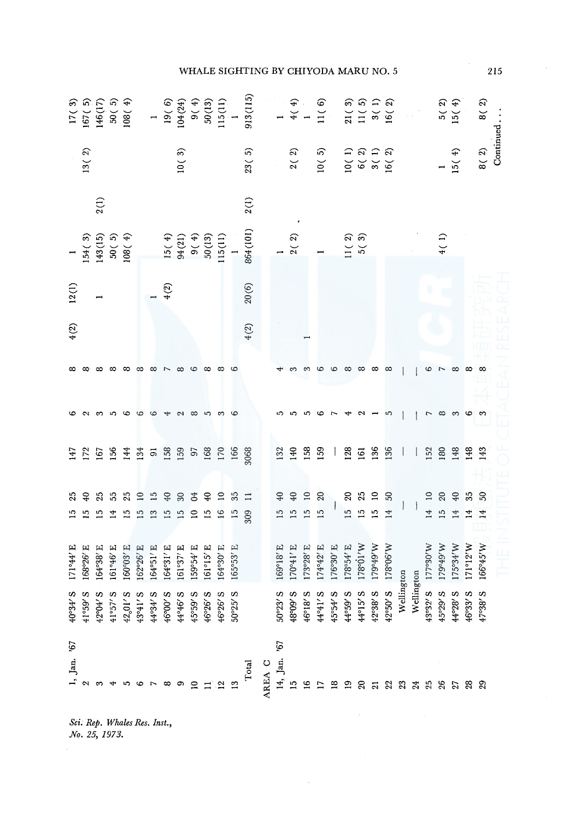|                            |                           |                              |                           |                                                          |                       |                       |                                 |                                |                 |                                            |              |                            | WHALE SIGHTING BY CHIYODA MARU NO. 5                                                                             |        |                 |                              |              |                |            |                                                                |          |                                       |          |            |                                       |                      |                       |                   |                      |          | 215       |
|----------------------------|---------------------------|------------------------------|---------------------------|----------------------------------------------------------|-----------------------|-----------------------|---------------------------------|--------------------------------|-----------------|--------------------------------------------|--------------|----------------------------|------------------------------------------------------------------------------------------------------------------|--------|-----------------|------------------------------|--------------|----------------|------------|----------------------------------------------------------------|----------|---------------------------------------|----------|------------|---------------------------------------|----------------------|-----------------------|-------------------|----------------------|----------|-----------|
|                            |                           |                              |                           |                                                          |                       |                       |                                 |                                |                 |                                            |              |                            |                                                                                                                  |        |                 |                              |              |                |            |                                                                |          |                                       |          |            |                                       |                      |                       | $5(2)$<br>$15(4)$ |                      | 8( 2)    | Continued |
|                            | $13($ $2)\,$              |                              |                           |                                                          |                       |                       |                                 | $10\,(\ 3)$                    |                 |                                            |              |                            | $23(5)$<br>$2(2)$<br>$10(5)$<br>$10(1)$<br>$6(2)$<br>$5(1)$<br>$6(2)$<br>$16(2)$                                 |        |                 |                              |              |                |            |                                                                |          |                                       |          |            |                                       |                      |                       | $\frac{1}{15(4)}$ |                      | $8(2)$   |           |
|                            |                           | 2(1)                         |                           |                                                          |                       |                       |                                 |                                |                 |                                            |              |                            | 2(1)                                                                                                             |        |                 |                              |              |                |            |                                                                |          |                                       |          |            |                                       |                      |                       |                   |                      |          |           |
|                            |                           |                              |                           | 1<br>154 (3)<br>143 (15)<br>50 (5)<br>108 (4)<br>108 (4) |                       |                       |                                 |                                |                 |                                            |              |                            | $\begin{array}{l} 15(\ 4) \\ 9(\ 21) \\ 9(\ 4) \\ 9(\ 4) \\ 50(13) \\ 115(11) \\ 1 \\ 1 \\ 864(101) \end{array}$ |        |                 |                              |              |                |            | $\begin{bmatrix} 1 \\ 2(2) \\ 1 \\ 1(2) \\ 5(3) \end{bmatrix}$ |          |                                       |          |            |                                       |                      | 4(1)                  |                   |                      |          |           |
| $12(1)$                    |                           |                              |                           |                                                          |                       |                       | $\frac{1}{4}$ (2)               |                                |                 |                                            |              |                            | $20\left(6\right)$                                                                                               |        |                 |                              |              |                |            |                                                                |          |                                       |          |            |                                       |                      |                       |                   |                      |          |           |
| 4(2)                       |                           |                              |                           |                                                          |                       |                       |                                 |                                |                 |                                            |              |                            | 4(2)                                                                                                             |        |                 |                              |              |                |            |                                                                |          |                                       |          |            |                                       |                      |                       |                   |                      |          |           |
|                            |                           |                              |                           | $\infty$                                                 | ∞                     | $\infty$ $\sim$       |                                 | $\infty$ . $\infty$            |                 |                                            |              |                            |                                                                                                                  |        |                 |                              |              |                |            |                                                                |          | $\infty$ $\infty$ $\infty$            |          |            |                                       |                      | $\circ$ $\sim$        | $\infty$          | $\infty$             | $\infty$ |           |
|                            |                           |                              |                           | G                                                        | G                     | G                     |                                 |                                | $\infty$        | $\overline{5}$                             | က ဟ          |                            |                                                                                                                  |        |                 |                              |              |                |            |                                                                |          |                                       | ഹ        |            |                                       | $\overline{ }$       | $\infty$              | m ပော m           |                      |          |           |
|                            |                           |                              |                           |                                                          |                       |                       |                                 |                                |                 |                                            |              |                            |                                                                                                                  |        |                 | 132<br>140                   | 158          | 159            |            | 128                                                            |          | $5.88$ $+$                            |          |            | $\begin{array}{c} \hline \end{array}$ |                      |                       | E 2 3 3 4 5 7 5   |                      |          |           |
|                            |                           | 25<br>$\mathbf{r}$           | 55                        | 25<br>$\overline{1}$                                     | $\overline{10}$<br>15 | $\overline{15}$<br>13 | $\mathfrak{S}$<br>$\frac{5}{1}$ | 37 <sup>o</sup><br>15          | $\overline{10}$ | 15                                         | 16           | $9237$<br>$\frac{15}{309}$ |                                                                                                                  |        | $\overline{12}$ | 777<br>$\frac{15}{15}$       |              | $\frac{15}{2}$ |            |                                                                |          | $225$<br><b>5554</b>                  |          |            |                                       | $\overline{14}$      | 1989<br>$\frac{5}{2}$ | 14                | 35<br>$\overline{1}$ | S,<br>14 |           |
| $444$ E<br>$\overline{17}$ | 3.926<br>$\overline{168}$ | $^{138}$ E<br>$\mathfrak{F}$ | $146$ E<br>$\overline{5}$ | <b>PO3'E</b><br>$\overline{5}$                           | 162                   | P26' E<br>164         | 1.6<br>164                      | $^{954}$ E<br>$\overline{161}$ | $\mathbb{S}^2$  | $^{\circ}15^{\prime}$ E<br>$\overline{16}$ | P30'E<br>164 | $-53' E$<br>165            |                                                                                                                  |        | $\frac{69}{2}$  | 31878<br>31150<br>31878<br>Ξ | 173          | 4°42' E<br>174 | 176°30' E  | $\frac{178°54′\,E}{178°01′W}$                                  |          | M.6t <sub>o</sub> f<br><sup>241</sup> | 178°06'W |            |                                       | $M$ /0 $6$ ol<br>177 | 179°49'W              | 175°34'W          | 1°12'W<br>171        | 166°45'W |           |
| $40°34'$ S                 | S /65°1\$                 | 42°04′ S                     | ω<br>41°57'               | $42,01'$ S                                               | 43°41' S              | 44°34' S              | 46°00' S                        | 44°46' S                       | 45°59' S        | S<br>46°26'                                | 46°26′ S     | S<br>50°25'                |                                                                                                                  |        | 50°23' S        | 48°09'S                      | 46°18' S     | 44°41' S       | $45°54′$ S | 44°59' S                                                       | 44°15' S | 42°38' S                              | 42°50' S | Wellington | Wellington                            | 43°32′ S             | 45°29' S              | 44°28' S          | 46°33′ S             | 47°38' S |           |
| Jan. '67                   |                           |                              |                           |                                                          |                       |                       |                                 |                                |                 |                                            |              |                            | Total                                                                                                            | AREA C | 14, Jan. '67    | ≌                            | $\mathbf{S}$ |                |            |                                                                | ຊ        |                                       | 22       | 23         |                                       | 25                   | 26                    | <u>ង ឌ ឌ</u>      |                      |          |           |
|                            |                           | No. 25, 1973.                |                           | Sci. Rep. Whales Res. Inst.,                             |                       |                       |                                 |                                |                 |                                            |              |                            |                                                                                                                  |        |                 |                              |              |                |            |                                                                |          |                                       |          |            |                                       |                      |                       |                   |                      |          |           |

Sci. Rep. Whales Res. Inst.,<br>No. 25, 1973.

## HALE SIGHTING BY CHIYODA MARU

 $215$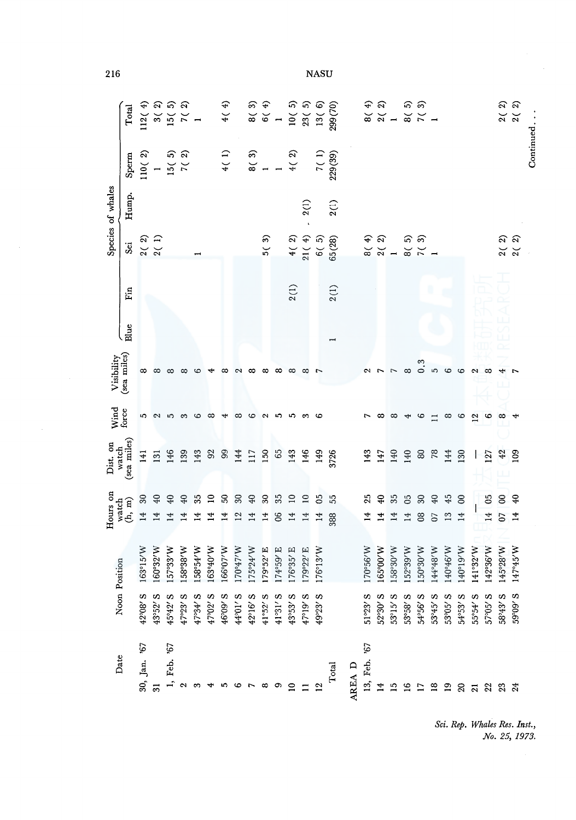| 216                       |                                                                                                                                                                                                                                                                                                                              |                                       |                                                                                           |                          |                                                                             |               |                 |                                      |                                      |            |                            |                |                 |           | <b>NASU</b> |                                                                                                                                                                                                                  |        |                                |                 |               |                                                                                                                                                                                                                                                                                                                                        |                         |          |                       |                       |                         |                |                                                                                                                               |                                               |           |
|---------------------------|------------------------------------------------------------------------------------------------------------------------------------------------------------------------------------------------------------------------------------------------------------------------------------------------------------------------------|---------------------------------------|-------------------------------------------------------------------------------------------|--------------------------|-----------------------------------------------------------------------------|---------------|-----------------|--------------------------------------|--------------------------------------|------------|----------------------------|----------------|-----------------|-----------|-------------|------------------------------------------------------------------------------------------------------------------------------------------------------------------------------------------------------------------|--------|--------------------------------|-----------------|---------------|----------------------------------------------------------------------------------------------------------------------------------------------------------------------------------------------------------------------------------------------------------------------------------------------------------------------------------------|-------------------------|----------|-----------------------|-----------------------|-------------------------|----------------|-------------------------------------------------------------------------------------------------------------------------------|-----------------------------------------------|-----------|
|                           | $\begin{bmatrix} 1 & 0 & 0 & 0 & 0 \\ 0 & 0 & 0 & 0 & 0 \\ 0 & 0 & 0 & 0 & 0 \\ 0 & 0 & 0 & 0 & 0 \\ 0 & 0 & 0 & 0 & 0 \\ 0 & 0 & 0 & 0 & 0 \\ 0 & 0 & 0 & 0 & 0 \\ 0 & 0 & 0 & 0 & 0 \\ 0 & 0 & 0 & 0 & 0 \\ 0 & 0 & 0 & 0 & 0 \\ 0 & 0 & 0 & 0 & 0 \\ 0 & 0 & 0 & 0 & 0 \\ 0 & 0 & 0 & 0 & 0 \\ 0 & 0 & 0 & 0 & 0 \\ 0 & $ |                                       |                                                                                           |                          |                                                                             |               |                 |                                      |                                      |            |                            |                |                 |           |             |                                                                                                                                                                                                                  |        |                                |                 |               | ୫ ମ<br>ର ଅ - ଅ - <u>-</u><br>୧ - ଅ - -                                                                                                                                                                                                                                                                                                 |                         |          |                       |                       |                         |                | $2(2)$<br>$2(2)$                                                                                                              |                                               | Continued |
|                           |                                                                                                                                                                                                                                                                                                                              |                                       |                                                                                           |                          | $\begin{array}{c} \text{Sperm} \\ 110(2) \\ 1 \\ 15(5) \\ 7(2) \end{array}$ |               |                 |                                      |                                      |            |                            |                |                 |           |             | $4(1)$<br>$8(3)$<br>$1$<br>$4(2)$<br>$7(1)$<br>$7(1)$<br>$7(3)$<br>2229(39)                                                                                                                                      |        |                                |                 |               |                                                                                                                                                                                                                                                                                                                                        |                         |          |                       |                       |                         |                |                                                                                                                               |                                               |           |
| Species of whales         | Hump.                                                                                                                                                                                                                                                                                                                        |                                       |                                                                                           |                          |                                                                             |               |                 |                                      |                                      |            |                            |                |                 | 2(1)      |             | 2(1)                                                                                                                                                                                                             |        |                                |                 |               |                                                                                                                                                                                                                                                                                                                                        |                         |          |                       |                       |                         |                |                                                                                                                               |                                               |           |
|                           |                                                                                                                                                                                                                                                                                                                              |                                       | $\begin{array}{c} \text{Sei}\\ 2\left(\begin{array}{cc} 2 \end{array}\right) \end{array}$ |                          |                                                                             |               |                 |                                      |                                      |            | 5(3)                       |                |                 |           |             | $\begin{array}{c} 4\left(\begin{array}{c} 2 \\ 4 \end{array}\right) \\ 21\left(\begin{array}{c} 4 \\ 5 \end{array}\right) \\ 6\left(\begin{array}{c} 5 \\ 0 \end{array}\right) \\ 65\left(28\right) \end{array}$ |        |                                |                 |               | $\begin{array}{ccc} 4 & 0 & 0 \\ 0 & 0 & 0 \\ 0 & 0 & 0 \\ 0 & 0 & 0 \\ 0 & 0 & 0 \\ 0 & 0 & 0 \\ 0 & 0 & 0 \\ 0 & 0 & 0 \\ 0 & 0 & 0 \\ 0 & 0 & 0 \\ 0 & 0 & 0 \\ 0 & 0 & 0 \\ 0 & 0 & 0 \\ 0 & 0 & 0 \\ 0 & 0 & 0 \\ 0 & 0 & 0 \\ 0 & 0 & 0 \\ 0 & 0 & 0 \\ 0 & 0 & 0 & 0 \\ 0 & 0 & 0 & 0 \\ 0 & 0 & 0 & 0 \\ 0 & 0 & 0 & 0 \\ 0 &$ |                         |          |                       |                       |                         |                | $\begin{array}{c} 2\left(\begin{array}{cc} 2 \end{array}\right) \\ 2\left(\begin{array}{cc} 2 \end{array}\right) \end{array}$ |                                               |           |
|                           | Fin                                                                                                                                                                                                                                                                                                                          |                                       |                                                                                           |                          |                                                                             |               |                 |                                      |                                      |            |                            |                | 2(1)            |           |             | 2(1)                                                                                                                                                                                                             |        |                                |                 |               |                                                                                                                                                                                                                                                                                                                                        |                         |          |                       |                       |                         |                |                                                                                                                               |                                               |           |
|                           | Blue                                                                                                                                                                                                                                                                                                                         |                                       |                                                                                           |                          |                                                                             |               |                 |                                      |                                      |            |                            |                |                 |           |             |                                                                                                                                                                                                                  |        |                                |                 |               |                                                                                                                                                                                                                                                                                                                                        |                         |          |                       |                       |                         |                |                                                                                                                               |                                               |           |
| Visibility<br>(sea miles) |                                                                                                                                                                                                                                                                                                                              |                                       |                                                                                           |                          | ∞                                                                           | అ             |                 | ∞                                    |                                      |            | ∞                          | $\infty$       | $\infty$        | $\infty$  |             |                                                                                                                                                                                                                  |        |                                |                 |               | $\infty$                                                                                                                                                                                                                                                                                                                               | 0.3                     | 5        | စ                     | $\circ$               | $\overline{\mathbf{c}}$ | $\infty$       |                                                                                                                               |                                               |           |
| Wind<br>force             |                                                                                                                                                                                                                                                                                                                              | S                                     | $N$ 5 $\omega$                                                                            |                          |                                                                             | ဖ ထ           |                 | 4                                    | $\infty$                             | $\circ$    | $\sim$                     |                | ေ ောက္ တ        |           | ç           |                                                                                                                                                                                                                  |        | $\overline{ }$                 | ∞               | $\infty$      | ⇥                                                                                                                                                                                                                                                                                                                                      | $\mathbf{c}$            |          | $\infty$              | မ                     | $\mathbf{\Omega}$       | అ              | $\infty$                                                                                                                      |                                               |           |
| Dist. on<br>watch         | (sea miles)                                                                                                                                                                                                                                                                                                                  | 141                                   | $131\,$                                                                                   |                          | $146$ $25$ $25$ $35$ $35$                                                   |               |                 |                                      | 144                                  | II7<br>150 |                            | 65             | 143<br>146      |           | 149<br>3726 |                                                                                                                                                                                                                  |        | 143                            | 147             | 140           | 140                                                                                                                                                                                                                                                                                                                                    | 82 8                    |          | 144                   | 130                   |                         | $\frac{1}{27}$ | 42                                                                                                                            | 109                                           |           |
|                           |                                                                                                                                                                                                                                                                                                                              | $\mathbb{S}^0$                        | $40\,$                                                                                    | $40\,$                   | $40\,$                                                                      | $35$ $\Omega$ |                 | $50^{\circ}$                         | $30\,$                               | $40$       | $\boldsymbol{\mathcal{Z}}$ | $35\,$         | $\overline{10}$ | $\Xi$     | SO          | 55                                                                                                                                                                                                               |        | 25                             | $\overline{40}$ | 35            | 65                                                                                                                                                                                                                                                                                                                                     | $30\,$                  | $40\,$   | 45                    | $\rm ^{\rm 8}$        |                         | 05             | $\infty$                                                                                                                      | $\mathfrak{D}$                                |           |
| Hours on                  | watch $(h,\,m)$                                                                                                                                                                                                                                                                                                              | 14                                    |                                                                                           | 14                       | 14                                                                          | 14            | $\overline{14}$ | 14                                   | 12                                   | 14         | 14                         | 8 <sup>o</sup> | 14              | 14        | 14          | 388                                                                                                                                                                                                              |        | $\overline{4}$                 | 4               | 14            | 14                                                                                                                                                                                                                                                                                                                                     | $\infty$                | $\delta$ | 13                    | 14                    |                         | 14             | $\overline{0}$                                                                                                                |                                               |           |
| Noon Position             |                                                                                                                                                                                                                                                                                                                              | $3^{\circ}15'W$<br>$\tilde{\epsilon}$ | 0°32'W<br>160                                                                             | 7°33'W<br>$\frac{15}{1}$ | 158°38'W                                                                    | 158°54'W      | 163°40'W        | 6°07'W<br>$\widetilde{\mathfrak{g}}$ | W <sub>1</sub> 45 <sub>60</sub><br>Ě | 175°24'W   | 179°52' E                  | 174°59' E      | 6°35' E<br>176  | 179°22' E | 176°13'W    |                                                                                                                                                                                                                  |        | 0°56'W<br>Ē                    | 5°00'W<br>ڡ     | 8°30'W<br>158 | 152°39'W                                                                                                                                                                                                                                                                                                                               | 0°30'W<br>$\frac{5}{1}$ | 144°48'W | 0°46'W<br>$\bar{\pm}$ | 0°19'W<br>$\vec{\pm}$ | 1°32'W<br>4             | 142°36'W       | 5°28'W<br>14                                                                                                                  | 7°45'W<br>$\frac{4}{1}$                       |           |
|                           |                                                                                                                                                                                                                                                                                                                              | 42°08' S                              | 43°52' S                                                                                  | 45°42' S                 | $47°23'$ S                                                                  | 47°34′ S      | 47°02' S        | 46°09' S                             | 44°01′ S                             | 42°16' S   | 41°52' S                   | $41°31'$ S     | 43°53' S        | 47°19′8   | 49°23' S    |                                                                                                                                                                                                                  |        | 51°23' S                       | 52°30′ S        | 53°15' S      | $53°58'$ S                                                                                                                                                                                                                                                                                                                             | $54°56'$ S              | 53°45' S | 53°05' S              | 54°53' S              | $55°54'$ S              | 57°05' S       | 58°43' S                                                                                                                      | 59°09' S                                      |           |
| Date                      |                                                                                                                                                                                                                                                                                                                              | 30, Jan. '67                          | ಸ                                                                                         | 67<br>Feb.               | N                                                                           | S             |                 |                                      |                                      |            |                            | თ              |                 |           |             | Total                                                                                                                                                                                                            | AREA D | 19,<br>Feb.<br>$\overline{13}$ |                 | 5             | $\mathbf{\underline{\circ}}$                                                                                                                                                                                                                                                                                                           |                         | œ        | ፵                     | ଅ                     | $\bar{\mathbf{c}}$      |                | 23<br>24                                                                                                                      |                                               |           |
|                           |                                                                                                                                                                                                                                                                                                                              |                                       |                                                                                           |                          |                                                                             |               |                 |                                      |                                      |            |                            |                |                 |           |             |                                                                                                                                                                                                                  |        |                                |                 |               |                                                                                                                                                                                                                                                                                                                                        |                         |          |                       |                       |                         |                |                                                                                                                               | Sci. Rep. Whales Res. Inst.,<br>No. 25, 1973. |           |

Sci. Rep. Whales Res. Inst.,<br>No. 25, 1973.

216

**NASU**